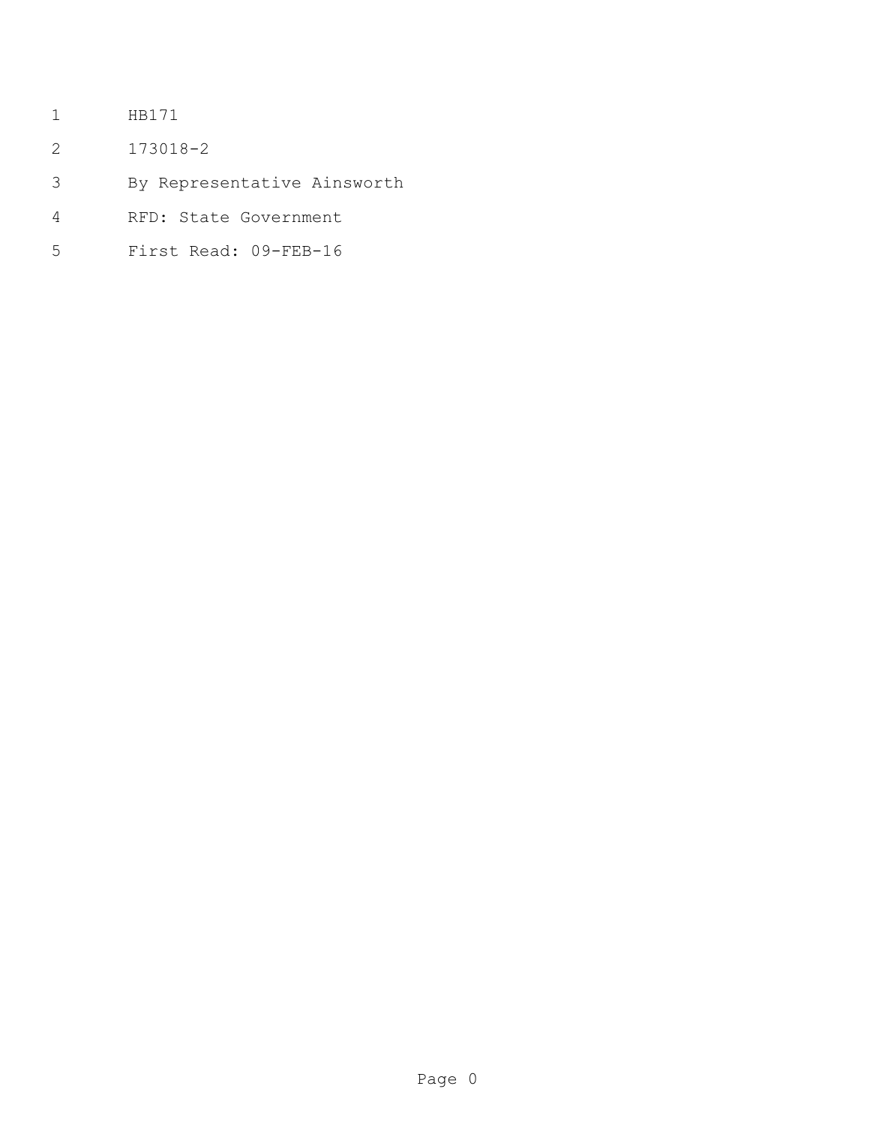- HB171
- 173018-2
- By Representative Ainsworth
- RFD: State Government
- First Read: 09-FEB-16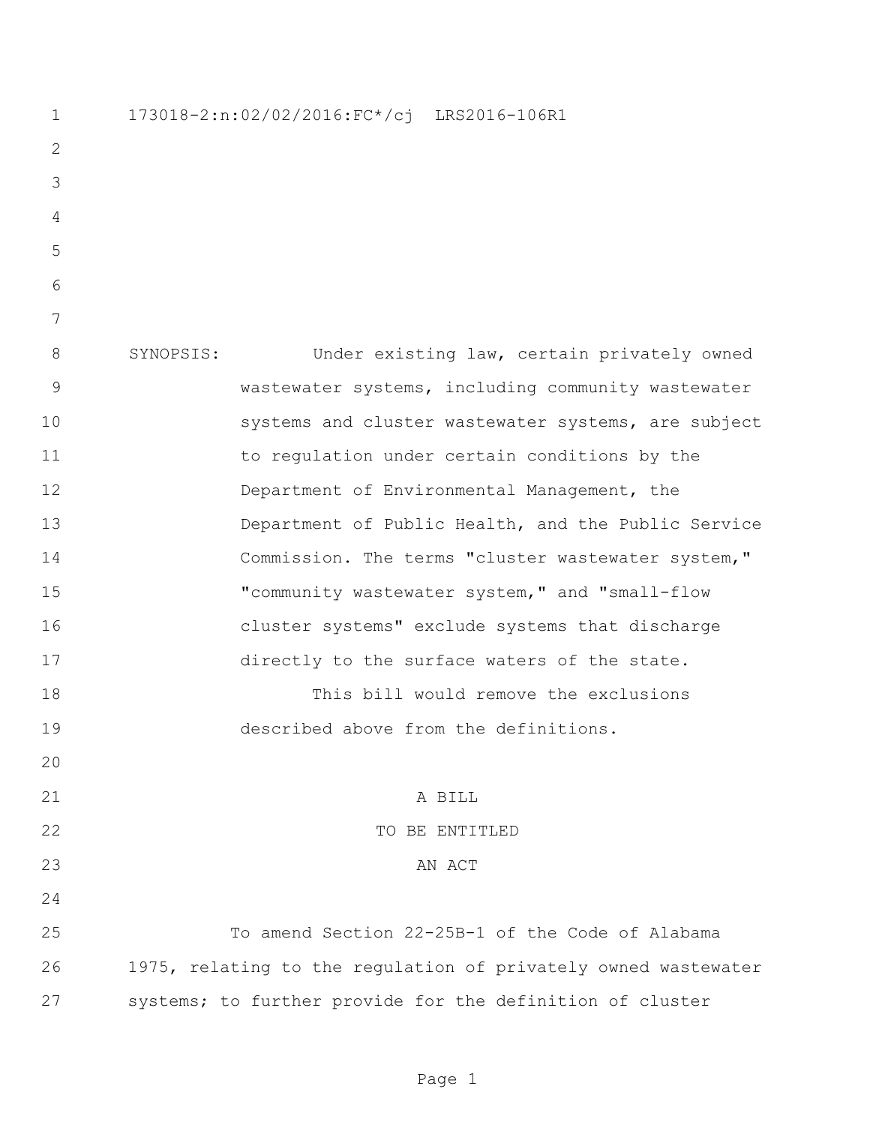| 1           | 173018-2:n:02/02/2016:FC*/cj LRS2016-106R1                     |
|-------------|----------------------------------------------------------------|
| 2           |                                                                |
| 3           |                                                                |
| 4           |                                                                |
| 5           |                                                                |
| 6           |                                                                |
| 7           |                                                                |
| 8           | SYNOPSIS:<br>Under existing law, certain privately owned       |
| $\mathsf 9$ | wastewater systems, including community wastewater             |
| 10          | systems and cluster wastewater systems, are subject            |
| 11          | to regulation under certain conditions by the                  |
| 12          | Department of Environmental Management, the                    |
| 13          | Department of Public Health, and the Public Service            |
| 14          | Commission. The terms "cluster wastewater system,"             |
| 15          | "community wastewater system," and "small-flow                 |
| 16          | cluster systems" exclude systems that discharge                |
| 17          | directly to the surface waters of the state.                   |
| 18          | This bill would remove the exclusions                          |
| 19          | described above from the definitions.                          |
| 20          |                                                                |
| 21          | A BILL                                                         |
| 22          | TO BE ENTITLED                                                 |
| 23          | AN ACT                                                         |
| 24          |                                                                |
| 25          | To amend Section 22-25B-1 of the Code of Alabama               |
| 26          | 1975, relating to the regulation of privately owned wastewater |
| 27          | systems; to further provide for the definition of cluster      |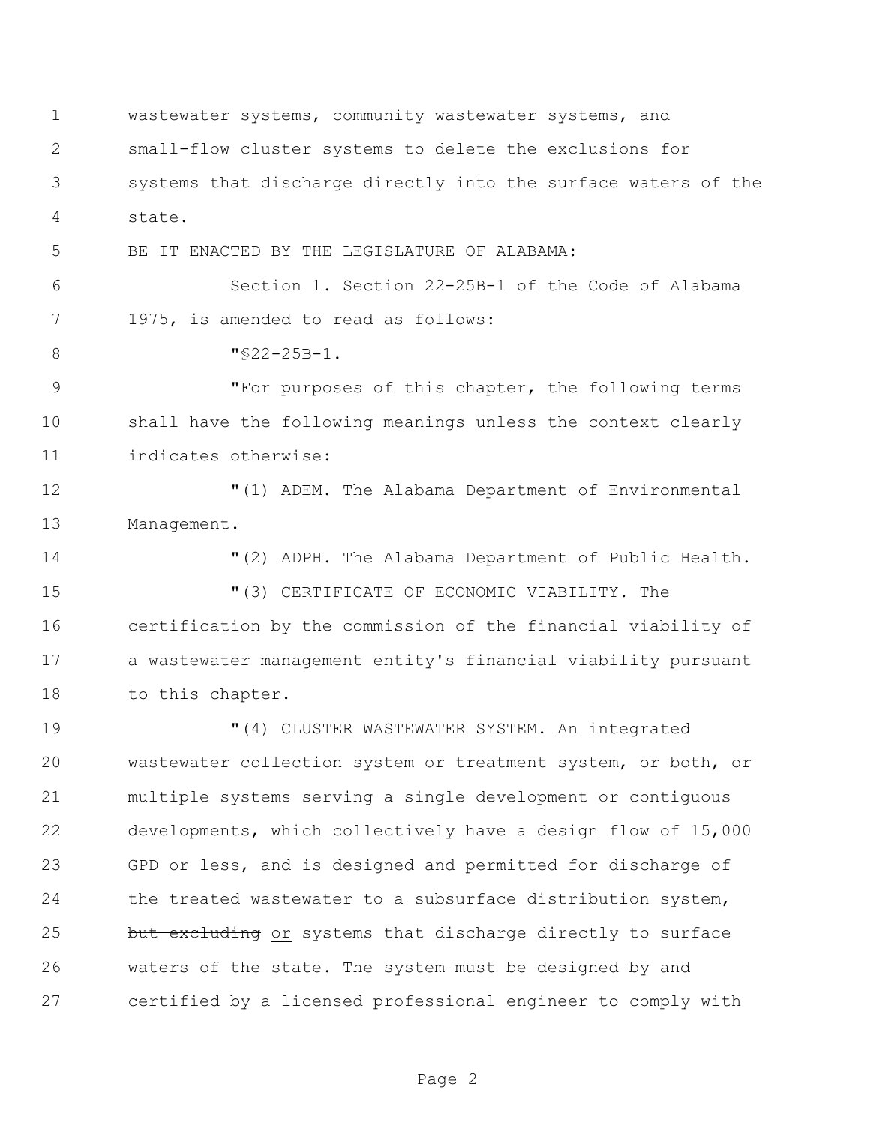wastewater systems, community wastewater systems, and small-flow cluster systems to delete the exclusions for systems that discharge directly into the surface waters of the state.

BE IT ENACTED BY THE LEGISLATURE OF ALABAMA:

 Section 1. Section 22-25B-1 of the Code of Alabama 1975, is amended to read as follows:

8 "§22-25B-1.

 "For purposes of this chapter, the following terms shall have the following meanings unless the context clearly indicates otherwise:

 "(1) ADEM. The Alabama Department of Environmental Management.

"(2) ADPH. The Alabama Department of Public Health.

 "(3) CERTIFICATE OF ECONOMIC VIABILITY. The certification by the commission of the financial viability of a wastewater management entity's financial viability pursuant to this chapter.

 "(4) CLUSTER WASTEWATER SYSTEM. An integrated wastewater collection system or treatment system, or both, or multiple systems serving a single development or contiguous developments, which collectively have a design flow of 15,000 GPD or less, and is designed and permitted for discharge of the treated wastewater to a subsurface distribution system, 25 but excluding or systems that discharge directly to surface waters of the state. The system must be designed by and certified by a licensed professional engineer to comply with

Page 2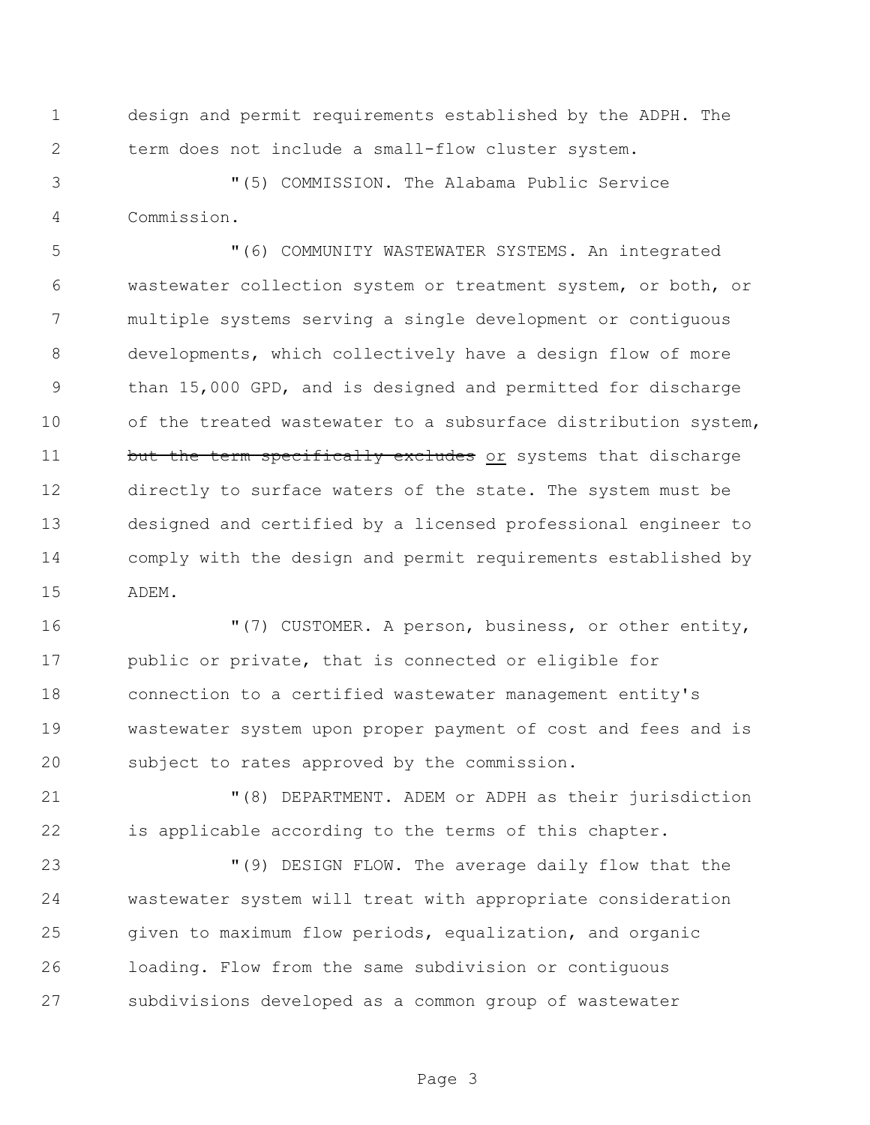design and permit requirements established by the ADPH. The term does not include a small-flow cluster system.

 "(5) COMMISSION. The Alabama Public Service Commission.

 "(6) COMMUNITY WASTEWATER SYSTEMS. An integrated wastewater collection system or treatment system, or both, or multiple systems serving a single development or contiguous developments, which collectively have a design flow of more than 15,000 GPD, and is designed and permitted for discharge of the treated wastewater to a subsurface distribution system, 11 but the term specifically excludes or systems that discharge directly to surface waters of the state. The system must be designed and certified by a licensed professional engineer to comply with the design and permit requirements established by ADEM.

 "(7) CUSTOMER. A person, business, or other entity, public or private, that is connected or eligible for connection to a certified wastewater management entity's wastewater system upon proper payment of cost and fees and is subject to rates approved by the commission.

 "(8) DEPARTMENT. ADEM or ADPH as their jurisdiction is applicable according to the terms of this chapter.

 "(9) DESIGN FLOW. The average daily flow that the wastewater system will treat with appropriate consideration given to maximum flow periods, equalization, and organic loading. Flow from the same subdivision or contiguous subdivisions developed as a common group of wastewater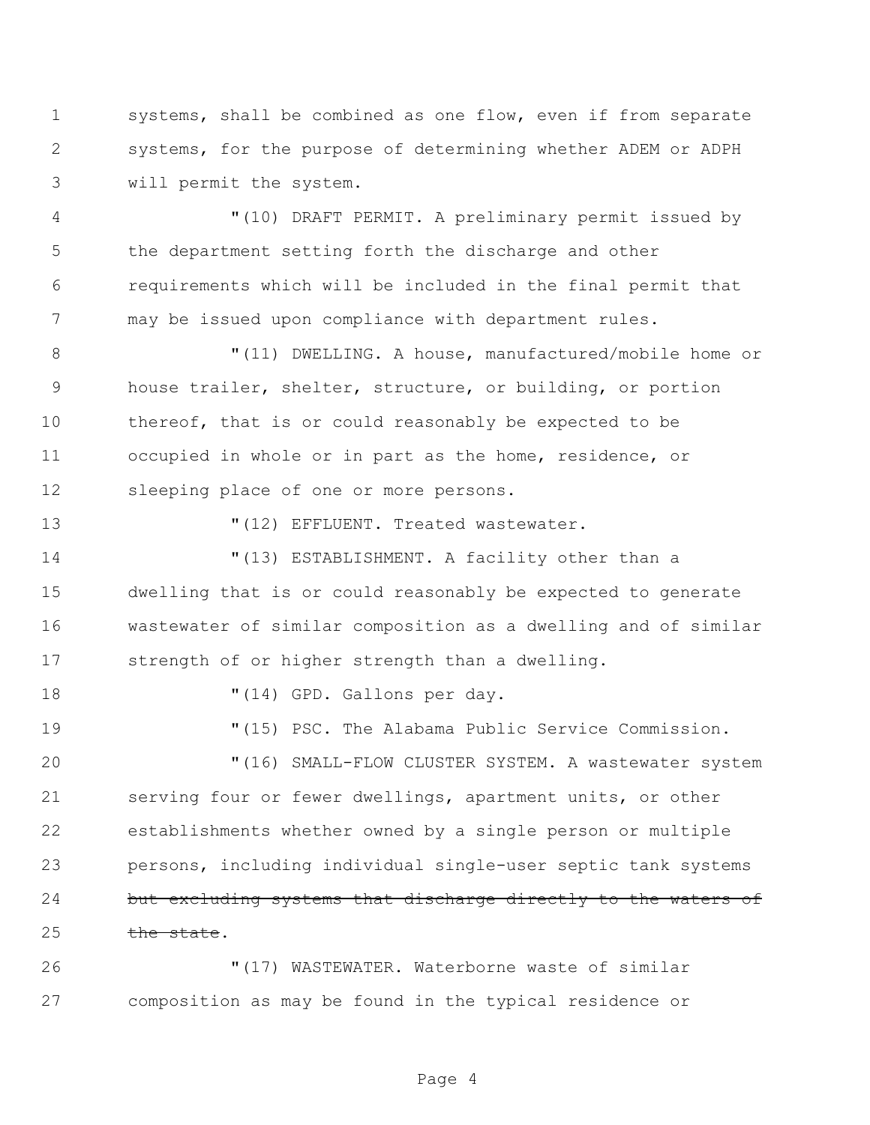systems, shall be combined as one flow, even if from separate systems, for the purpose of determining whether ADEM or ADPH will permit the system.

 "(10) DRAFT PERMIT. A preliminary permit issued by the department setting forth the discharge and other requirements which will be included in the final permit that may be issued upon compliance with department rules.

 $\blacksquare(11)$  DWELLING. A house, manufactured/mobile home or house trailer, shelter, structure, or building, or portion thereof, that is or could reasonably be expected to be occupied in whole or in part as the home, residence, or sleeping place of one or more persons.

13  $(12)$  EFFLUENT. Treated wastewater.

 "(13) ESTABLISHMENT. A facility other than a dwelling that is or could reasonably be expected to generate wastewater of similar composition as a dwelling and of similar strength of or higher strength than a dwelling.

18  $\blacksquare$  (14) GPD. Gallons per day.

 "(15) PSC. The Alabama Public Service Commission. "(16) SMALL-FLOW CLUSTER SYSTEM. A wastewater system serving four or fewer dwellings, apartment units, or other

 establishments whether owned by a single person or multiple persons, including individual single-user septic tank systems 24 but excluding systems that discharge directly to the waters of 25 the state.

 "(17) WASTEWATER. Waterborne waste of similar composition as may be found in the typical residence or